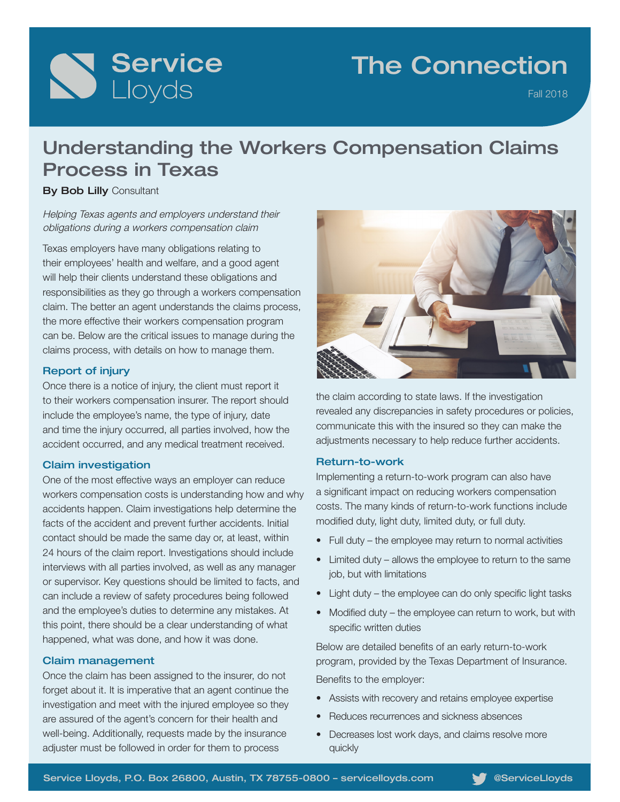

## The Connection

Fall 2018

## Understanding the Workers Compensation Claims Process in Texas

**By Bob Lilly Consultant** 

Helping Texas agents and employers understand their obligations during a workers compensation claim

Texas employers have many obligations relating to their employees' health and welfare, and a good agent will help their clients understand these obligations and responsibilities as they go through a workers compensation claim. The better an agent understands the claims process, the more effective their workers compensation program can be. Below are the critical issues to manage during the claims process, with details on how to manage them.

### Report of injury

Once there is a notice of injury, the client must report it to their workers compensation insurer. The report should include the employee's name, the type of injury, date and time the injury occurred, all parties involved, how the accident occurred, and any medical treatment received.

## Claim investigation

One of the most effective ways an employer can reduce workers compensation costs is understanding how and why accidents happen. Claim investigations help determine the facts of the accident and prevent further accidents. Initial contact should be made the same day or, at least, within 24 hours of the claim report. Investigations should include interviews with all parties involved, as well as any manager or supervisor. Key questions should be limited to facts, and can include a review of safety procedures being followed and the employee's duties to determine any mistakes. At this point, there should be a clear understanding of what happened, what was done, and how it was done.

### Claim management

Once the claim has been assigned to the insurer, do not forget about it. It is imperative that an agent continue the investigation and meet with the injured employee so they are assured of the agent's concern for their health and well-being. Additionally, requests made by the insurance adjuster must be followed in order for them to process



the claim according to state laws. If the investigation revealed any discrepancies in safety procedures or policies, communicate this with the insured so they can make the adjustments necessary to help reduce further accidents.

#### Return-to-work

Implementing a return-to-work program can also have a significant impact on reducing workers compensation costs. The many kinds of return-to-work functions include modified duty, light duty, limited duty, or full duty.

- Full duty the employee may return to normal activities
- Limited duty allows the employee to return to the same job, but with limitations
- Light duty the employee can do only specific light tasks
- Modified duty the employee can return to work, but with specific written duties

Below are detailed benefits of an early return-to-work program, provided by the Texas Department of Insurance. Benefits to the employer:

- Assists with recovery and retains employee expertise
- Reduces recurrences and sickness absences
- Decreases lost work days, and claims resolve more quickly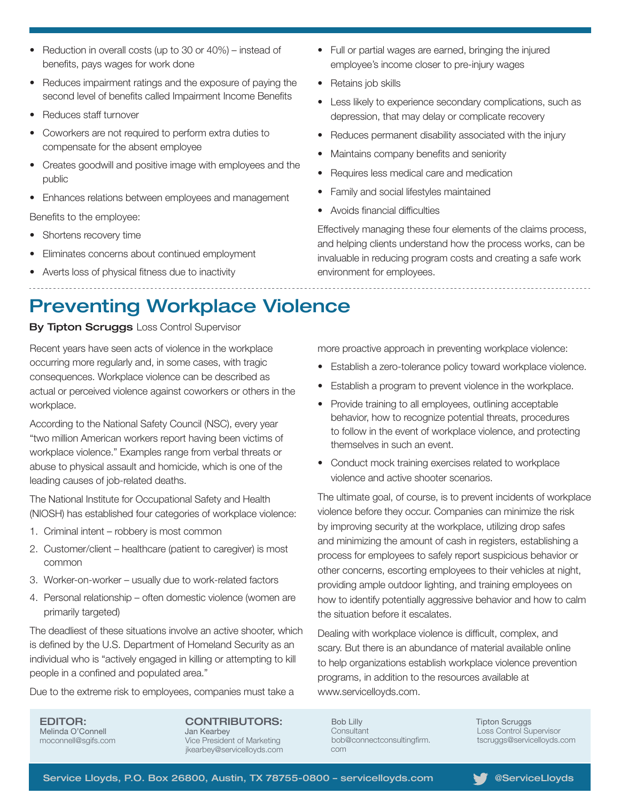- Reduction in overall costs (up to 30 or 40%) instead of benefits, pays wages for work done
- Reduces impairment ratings and the exposure of paying the second level of benefits called Impairment Income Benefits
- Reduces staff turnover
- Coworkers are not required to perform extra duties to compensate for the absent employee
- Creates goodwill and positive image with employees and the public
- Enhances relations between employees and management

Benefits to the employee:

- Shortens recovery time
- Eliminates concerns about continued employment
- Averts loss of physical fitness due to inactivity
- Full or partial wages are earned, bringing the injured employee's income closer to pre-injury wages
- Retains job skills
- Less likely to experience secondary complications, such as depression, that may delay or complicate recovery
- Reduces permanent disability associated with the injury
- Maintains company benefits and seniority
- Requires less medical care and medication
- Family and social lifestyles maintained
- Avoids financial difficulties

Effectively managing these four elements of the claims process, and helping clients understand how the process works, can be invaluable in reducing program costs and creating a safe work environment for employees.

## Preventing Workplace Violence

#### **By Tipton Scruggs Loss Control Supervisor**

Recent years have seen acts of violence in the workplace occurring more regularly and, in some cases, with tragic consequences. Workplace violence can be described as actual or perceived violence against coworkers or others in the workplace.

According to the National Safety Council (NSC), every year "two million American workers report having been victims of workplace violence." Examples range from verbal threats or abuse to physical assault and homicide, which is one of the leading causes of job-related deaths.

The National Institute for Occupational Safety and Health (NIOSH) has established four categories of workplace violence:

- 1. Criminal intent robbery is most common
- 2. Customer/client healthcare (patient to caregiver) is most common
- 3. Worker-on-worker usually due to work-related factors
- 4. Personal relationship often domestic violence (women are primarily targeted)

The deadliest of these situations involve an active shooter, which is defined by the U.S. Department of Homeland Security as an individual who is "actively engaged in killing or attempting to kill people in a confined and populated area."

Due to the extreme risk to employees, companies must take a

EDITOR: Melinda O'Connell moconnell@sgifs.com CONTRIBUTORS: Jan Kearbey Vice President of Marketing jkearbey@servicelloyds.com more proactive approach in preventing workplace violence:

- Establish a zero-tolerance policy toward workplace violence.
- Establish a program to prevent violence in the workplace.
- Provide training to all employees, outlining acceptable behavior, how to recognize potential threats, procedures to follow in the event of workplace violence, and protecting themselves in such an event.
- Conduct mock training exercises related to workplace violence and active shooter scenarios.

The ultimate goal, of course, is to prevent incidents of workplace violence before they occur. Companies can minimize the risk by improving security at the workplace, utilizing drop safes and minimizing the amount of cash in registers, establishing a process for employees to safely report suspicious behavior or other concerns, escorting employees to their vehicles at night, providing ample outdoor lighting, and training employees on how to identify potentially aggressive behavior and how to calm the situation before it escalates.

Dealing with workplace violence is difficult, complex, and scary. But there is an abundance of material available online to help organizations establish workplace violence prevention programs, in addition to the resources available at www.servicelloyds.com.

Bob Lilly **Consultant** bob@connectconsultingfirm. com

Tipton Scruggs Loss Control Supervisor tscruggs@servicelloyds.com

Service Lloyds, P.O. Box 26800, Austin, TX 78755-0800 - servicelloyds.com @ServiceLloyds